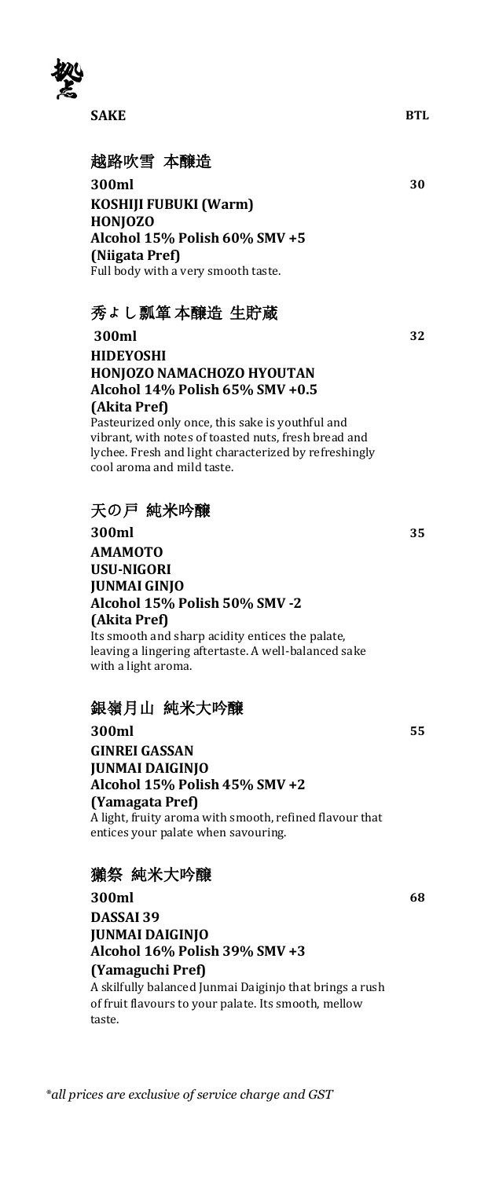

### 越路吹雪 本醸造

**300ml 30 KOSHIJI FUBUKI (Warm) HONJOZO Alcohol 15% Polish 60% SMV +5 (Niigata Pref)** Full body with a very smooth taste.

### 秀よし瓢箪 本醸造 生貯蔵

**300ml 32 HIDEYOSHI HONJOZO NAMACHOZO HYOUTAN Alcohol 14% Polish 65% SMV +0.5 (Akita Pref)** Pasteurized only once, this sake is youthful and vibrant, with notes of toasted nuts, fresh bread and lychee. Fresh and light characterized by refreshingly

### 天の戸 純米吟醸

cool aroma and mild taste.

**300ml 35 AMAMOTO USU-NIGORI JUNMAI GINJO Alcohol 15% Polish 50% SMV -2 (Akita Pref)** Its smooth and sharp acidity entices the palate, leaving a lingering aftertaste. A well-balanced sake with a light aroma.

### 銀嶺月山 純米大吟醸

**300ml 55 GINREI GASSAN JUNMAI DAIGINJO Alcohol 15% Polish 45% SMV +2 (Yamagata Pref)** A light, fruity aroma with smooth, refined flavour that entices your palate when savouring.

### 獺祭 純米大吟醸

**300ml 68 DASSAI 39 JUNMAI DAIGINJO Alcohol 16% Polish 39% SMV +3 (Yamaguchi Pref)** A skilfully balanced Junmai Daiginjo that brings a rush of fruit flavours to your palate. Its smooth, mellow taste.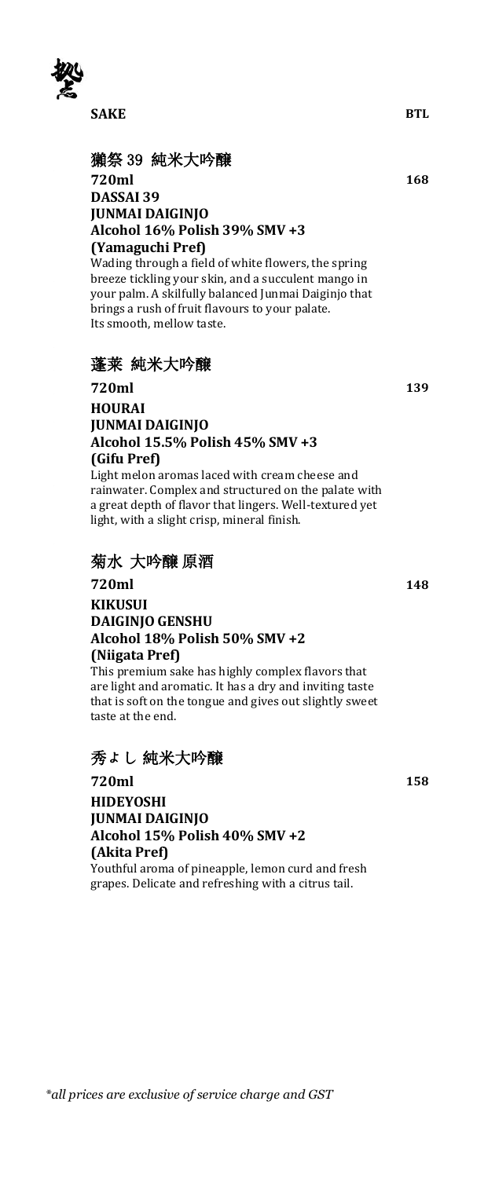

# 獺祭 39 純米大吟醸<br>720ml **720ml 168 DASSAI 39**

#### **JUNMAI DAIGINJO Alcohol 16% Polish 39% SMV +3 (Yamaguchi Pref)**

Wading through a field of white flowers, the spring breeze tickling your skin, and a succulent mango in your palm. A skilfully balanced Junmai Daiginjo that brings a rush of fruit flavours to your palate. Its smooth, mellow taste.

# 蓬莱 純米大吟醸

### **720ml 139 HOURAI JUNMAI DAIGINJO Alcohol 15.5% Polish 45% SMV +3 (Gifu Pref)**

Light melon aromas laced with cream cheese and rainwater. Complex and structured on the palate with a great depth of flavor that lingers. Well-textured yet light, with a slight crisp, mineral finish.

### 菊水 大吟醸 原酒

### **720ml 148 KIKUSUI DAIGINJO GENSHU Alcohol 18% Polish 50% SMV +2 (Niigata Pref)**

This premium sake has highly complex flavors that are light and aromatic. It has a dry and inviting taste that is soft on the tongue and gives out slightly sweet taste at the end.

# 秀よし 純米大吟醸

#### **720ml 158 HIDEYOSHI JUNMAI DAIGINJO Alcohol 15% Polish 40% SMV +2 (Akita Pref)** Youthful aroma of pineapple, lemon curd and fresh grapes. Delicate and refreshing with a citrus tail.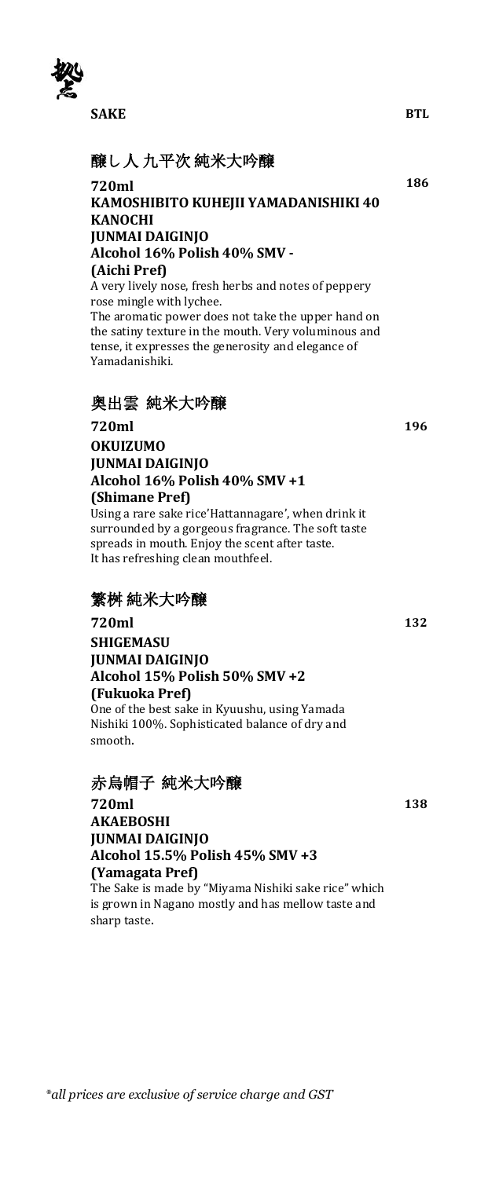

# 醸し人 九平次 純米大吟醸

#### **720ml 186 KAMOSHIBITO KUHEJII YAMADANISHIKI 40 KANOCHI JUNMAI DAIGINJO Alcohol 16% Polish 40% SMV - (Aichi Pref)**

A very lively nose, fresh herbs and notes of peppery rose mingle with lychee.

The aromatic power does not take the upper hand on the satiny texture in the mouth. Very voluminous and tense, it expresses the generosity and elegance of Yamadanishiki.

# 奥出雲 純米大吟醸

**720ml 196 OKUIZUMO JUNMAI DAIGINJO Alcohol 16% Polish 40% SMV +1 (Shimane Pref)**

Using a rare sake rice'Hattannagare', when drink it surrounded by a gorgeous fragrance. The soft taste spreads in mouth. Enjoy the scent after taste. It has refreshing clean mouthfeel.

# 繁桝 純米大吟醸

**720ml 132 SHIGEMASU JUNMAI DAIGINJO Alcohol 15% Polish 50% SMV +2 (Fukuoka Pref)** One of the best sake in Kyuushu, using Yamada

Nishiki 100%. Sophisticated balance of dry and smooth.

# 赤烏帽子 純米大吟醸

**720ml 138 AKAEBOSHI JUNMAI DAIGINJO Alcohol 15.5% Polish 45% SMV +3 (Yamagata Pref)** The Sake is made by "Miyama Nishiki sake rice" which is grown in Nagano mostly and has mellow taste and sharp taste.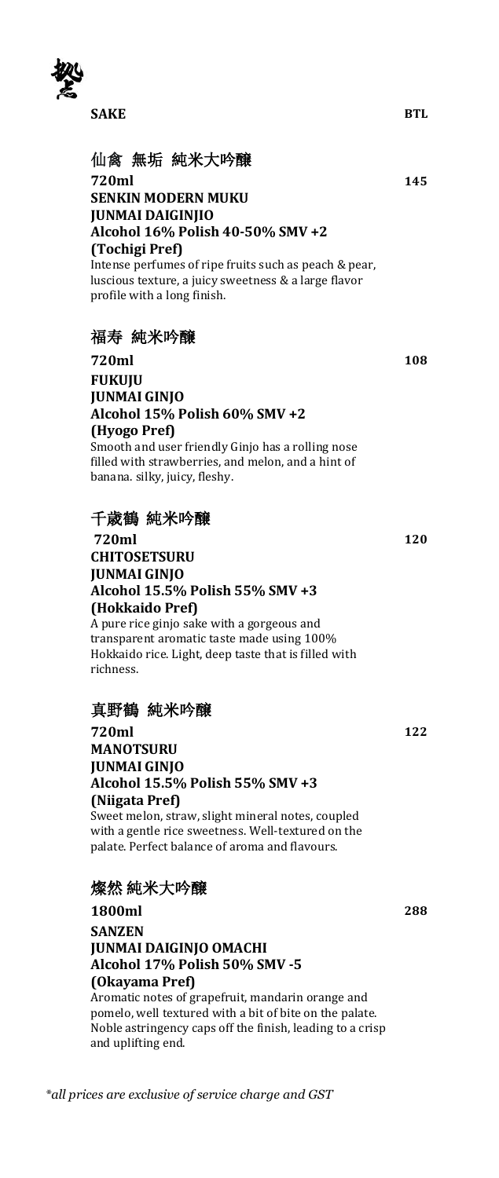

# 仙禽 無垢 純米大吟醸

**720ml 145 SENKIN MODERN MUKU JUNMAI DAIGINJIO Alcohol 16% Polish 40-50% SMV +2 (Tochigi Pref)** Intense perfumes of ripe fruits such as peach & pear, luscious texture, a juicy sweetness & a large flavor profile with a long finish.

### 福寿 純米吟醸

**720ml 108 FUKUJU JUNMAI GINJO Alcohol 15% Polish 60% SMV +2 (Hyogo Pref)** Smooth and user friendly Ginjo has a rolling nose filled with strawberries, and melon, and a hint of banana. silky, juicy, fleshy.

# 千歳鶴 純米吟醸

**720ml 120 CHITOSETSURU JUNMAI GINJO Alcohol 15.5% Polish 55% SMV +3 (Hokkaido Pref)**

A pure rice ginjo sake with a gorgeous and transparent aromatic taste made using 100% Hokkaido rice. Light, deep taste that is filled with richness.

### 真野鶴 純米吟醸

**720ml 122 MANOTSURU JUNMAI GINJO Alcohol 15.5% Polish 55% SMV +3 (Niigata Pref)** Sweet melon, straw, slight mineral notes, coupled

with a gentle rice sweetness. Well-textured on the palate. Perfect balance of aroma and flavours.

# 燦然 純米大吟醸

**1800ml 288 SANZEN JUNMAI DAIGINJO OMACHI Alcohol 17% Polish 50% SMV -5 (Okayama Pref)**

Aromatic notes of grapefruit, mandarin orange and pomelo, well textured with a bit of bite on the palate. Noble astringency caps off the finish, leading to a crisp and uplifting end.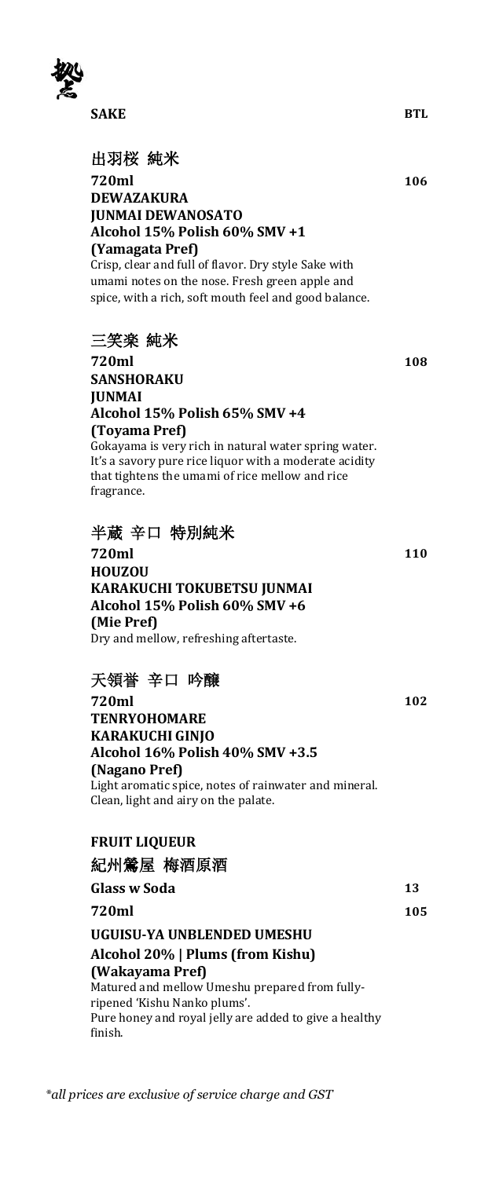

# 出羽桜 純米

**720ml 106 DEWAZAKURA JUNMAI DEWANOSATO Alcohol 15% Polish 60% SMV +1 (Yamagata Pref)**

Crisp, clear and full of flavor. Dry style Sake with umami notes on the nose. Fresh green apple and spice, with a rich, soft mouth feel and good balance.

### 三笑楽 純米

**720ml 108 SANSHORAKU JUNMAI Alcohol 15% Polish 65% SMV +4 (Toyama Pref)** Gokayama is very rich in natural water spring water. It's a savory pure rice liquor with a moderate acidity that tightens the umami of rice mellow and rice

fragrance.

### 半蔵 辛口 特別純米

**720ml 110 HOUZOU KARAKUCHI TOKUBETSU JUNMAI Alcohol 15% Polish 60% SMV +6 (Mie Pref)** Dry and mellow, refreshing aftertaste.

# 天領誉 辛口 吟醸

**720ml 102 TENRYOHOMARE KARAKUCHI GINJO Alcohol 16% Polish 40% SMV +3.5 (Nagano Pref)** Light aromatic spice, notes of rainwater and mineral. Clean, light and airy on the palate.

## **FRUIT LIQUEUR** 紀州鶯屋 梅酒原酒

|                                                                                                                                          | 105 |
|------------------------------------------------------------------------------------------------------------------------------------------|-----|
| 720ml                                                                                                                                    |     |
| UGUISU-YA UNBLENDED UMESHU                                                                                                               |     |
| Alcohol 20%   Plums (from Kishu)                                                                                                         |     |
| (Wakayama Pref)                                                                                                                          |     |
| Matured and mellow Umeshu prepared from fully-<br>ripened 'Kishu Nanko plums'.<br>Pure honey and royal jelly are added to give a healthy |     |
| finish.                                                                                                                                  |     |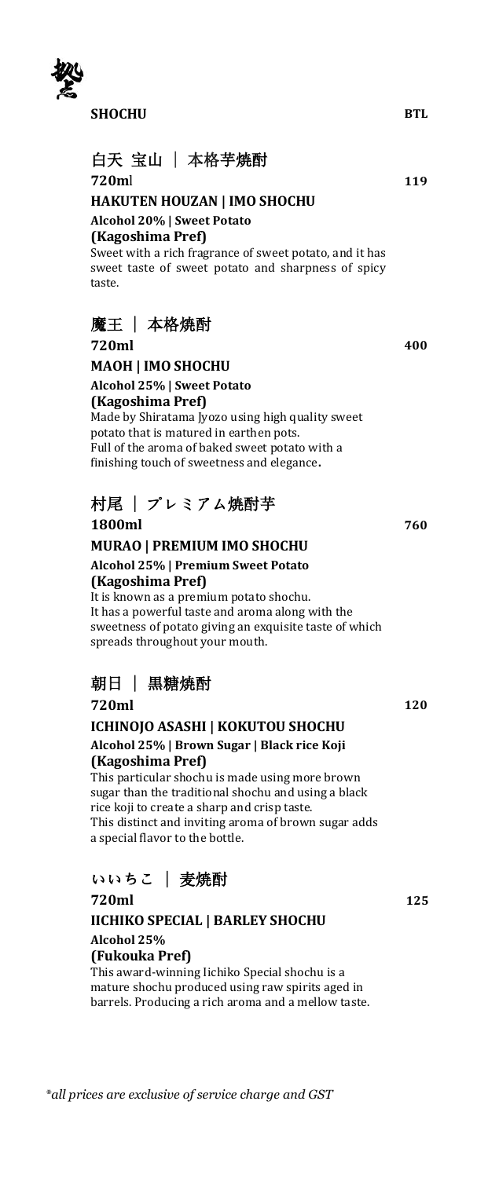

**SHOCHU BTL**

# 白天 宝山 | 本格芋焼酎 **720m**l **119**

**HAKUTEN HOUZAN | IMO SHOCHU Alcohol 20% | Sweet Potato (Kagoshima Pref)** Sweet with a rich fragrance of sweet potato, and it has sweet taste of sweet potato and sharpness of spicy

# 魔王 | 本格焼酎

taste.

**720ml 400 MAOH | IMO SHOCHU Alcohol 25% | Sweet Potato (Kagoshima Pref)** Made by Shiratama Jyozo using high quality sweet potato that is matured in earthen pots.

Full of the aroma of baked sweet potato with a finishing touch of sweetness and elegance**.**

# 村尾 | プレミアム焼酎芋 **1800ml 760**

**MURAO | PREMIUM IMO SHOCHU Alcohol 25% | Premium Sweet Potato (Kagoshima Pref)**

It is known as a premium potato shochu. It has a powerful taste and aroma along with the sweetness of potato giving an exquisite taste of which spreads throughout your mouth.

# 朝日 | 黒糖焼酎

**720ml 120**

**ICHINOJO ASASHI | KOKUTOU SHOCHU Alcohol 25% | Brown Sugar | Black rice Koji (Kagoshima Pref)**

This particular shochu is made using more brown sugar than the traditional shochu and using a black rice koji to create a sharp and crisp taste. This distinct and inviting aroma of brown sugar adds a special flavor to the bottle.

# いいちこ | 麦焼酎

**720ml 125**

#### **IICHIKO SPECIAL | BARLEY SHOCHU Alcohol 25% (Fukouka Pref)**

This award-winning Iichiko Special shochu is a mature shochu produced using raw spirits aged in barrels. Producing a rich aroma and a mellow taste.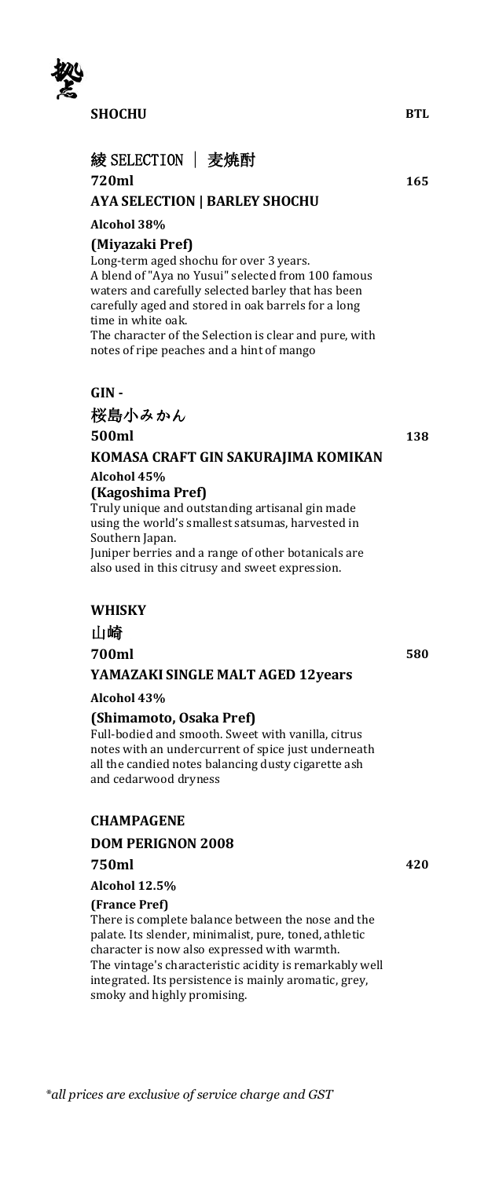

**SHOCHU BTL**

# 綾 SELECTION | 麦焼酎

#### **720ml 165**

#### **AYA SELECTION | BARLEY SHOCHU**

#### **Alcohol 38%**

#### **(Miyazaki Pref)**

Long-term aged shochu for over 3 years. A blend of "Aya no Yusui" selected from 100 famous waters and carefully selected barley that has been carefully aged and stored in oak barrels for a long time in white oak.

The character of the Selection is clear and pure, with notes of ripe peaches and a hint of mango

#### **GIN -**

# 桜島小みかん **500ml 138**

# **KOMASA CRAFT GIN SAKURAJIMA KOMIKAN Alcohol 45%**

### **(Kagoshima Pref)**

Truly unique and outstanding artisanal gin made using the world's smallest satsumas, harvested in Southern Japan.

Juniper berries and a range of other botanicals are also used in this citrusy and sweet expression.

### **WHISKY**

### 山崎

**700ml 580 YAMAZAKI SINGLE MALT AGED 12years**

**Alcohol 43%**

#### **(Shimamoto, Osaka Pref)**

Full-bodied and smooth. Sweet with vanilla, citrus notes with an undercurrent of spice just underneath all the candied notes balancing dusty cigarette ash and cedarwood dryness

#### **CHAMPAGENE**

**DOM PERIGNON 2008**

#### **750ml 420**

**Alcohol 12.5%**

#### **(France Pref)**

There is complete balance between the nose and the palate. Its slender, minimalist, pure, toned, athletic character is now also expressed with warmth. The vintage's characteristic acidity is remarkably well integrated. Its persistence is mainly aromatic, grey, smoky and highly promising.